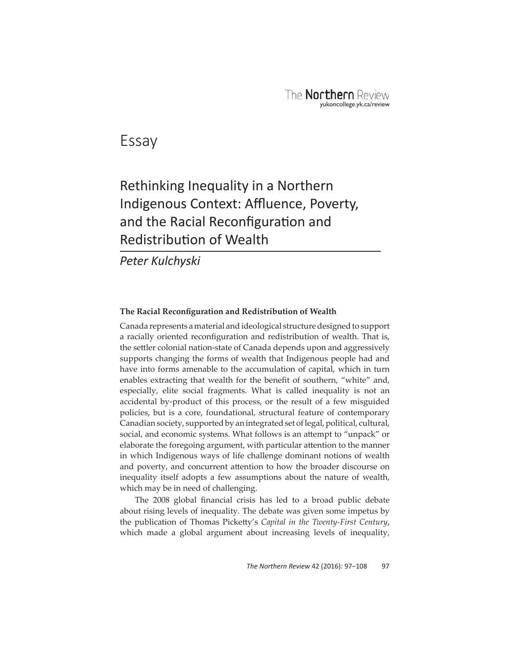Essay

# Rethinking Inequality in a Northern Indigenous Context: Affluence, Poverty, and the Racial Reconfiguration and **Redistribution of Wealth**

*Peter Kulchyski*

## **The Racial Reconfiguration and Redistribution of Wealth**

Canada represents a material and ideological structure designed to support a racially oriented reconfiguration and redistribution of wealth. That is, the settler colonial nation-state of Canada depends upon and aggressively supports changing the forms of wealth that Indigenous people had and have into forms amenable to the accumulation of capital, which in turn enables extracting that wealth for the benefit of southern, "white" and, especially, elite social fragments. What is called inequality is not an accidental by-product of this process, or the result of a few misguided policies, but is a core, foundational, structural feature of contemporary Canadian society, supported by an integrated set of legal, political, cultural, social, and economic systems. What follows is an attempt to "unpack" or elaborate the foregoing argument, with particular attention to the manner in which Indigenous ways of life challenge dominant notions of wealth and poverty, and concurrent attention to how the broader discourse on inequality itself adopts a few assumptions about the nature of wealth, which may be in need of challenging.

The 2008 global financial crisis has led to a broad public debate about rising levels of inequality. The debate was given some impetus by the publication of Thomas Picketty's *Capital in the Twenty-First Century*, which made a global argument about increasing levels of inequality,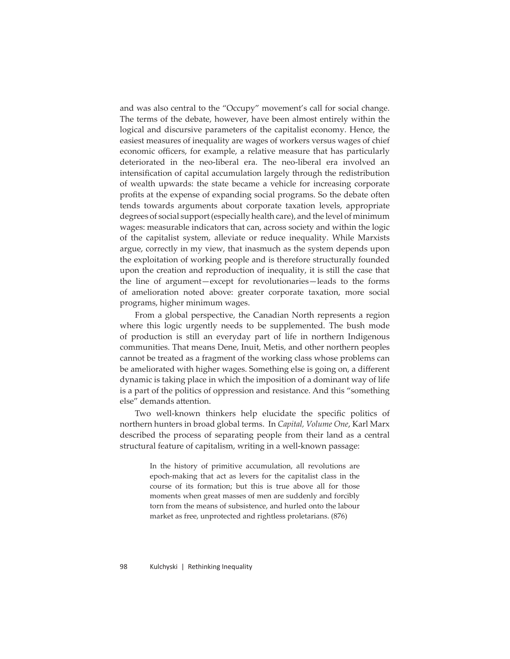and was also central to the "Occupy" movement's call for social change. The terms of the debate, however, have been almost entirely within the logical and discursive parameters of the capitalist economy. Hence, the easiest measures of inequality are wages of workers versus wages of chief economic officers, for example, a relative measure that has particularly deteriorated in the neo-liberal era. The neo-liberal era involved an intensification of capital accumulation largely through the redistribution of wealth upwards: the state became a vehicle for increasing corporate profits at the expense of expanding social programs. So the debate often tends towards arguments about corporate taxation levels, appropriate degrees of social support (especially health care), and the level of minimum wages: measurable indicators that can, across society and within the logic of the capitalist system, alleviate or reduce inequality. While Marxists argue, correctly in my view, that inasmuch as the system depends upon the exploitation of working people and is therefore structurally founded upon the creation and reproduction of inequality, it is still the case that the line of argument—except for revolutionaries—leads to the forms of amelioration noted above: greater corporate taxation, more social programs, higher minimum wages.

From a global perspective, the Canadian North represents a region where this logic urgently needs to be supplemented. The bush mode of production is still an everyday part of life in northern Indigenous communities. That means Dene, Inuit, Metis, and other northern peoples cannot be treated as a fragment of the working class whose problems can be ameliorated with higher wages. Something else is going on, a different dynamic is taking place in which the imposition of a dominant way of life is a part of the politics of oppression and resistance. And this "something else" demands attention.

Two well-known thinkers help elucidate the specific politics of northern hunters in broad global terms. In *Capital, Volume One*, Karl Marx described the process of separating people from their land as a central structural feature of capitalism, writing in a well-known passage:

> In the history of primitive accumulation, all revolutions are epoch-making that act as levers for the capitalist class in the course of its formation; but this is true above all for those moments when great masses of men are suddenly and forcibly torn from the means of subsistence, and hurled onto the labour market as free, unprotected and rightless proletarians. (876)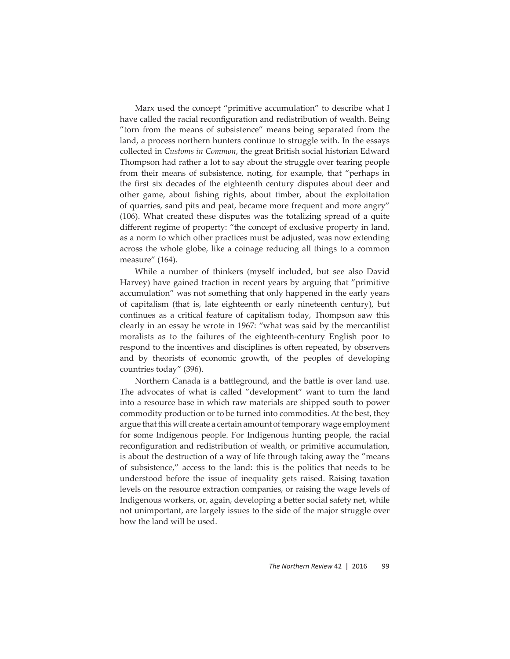Marx used the concept "primitive accumulation" to describe what I have called the racial reconfiguration and redistribution of wealth. Being "torn from the means of subsistence" means being separated from the land, a process northern hunters continue to struggle with. In the essays collected in *Customs in Common*, the great British social historian Edward Thompson had rather a lot to say about the struggle over tearing people from their means of subsistence, noting, for example, that "perhaps in the first six decades of the eighteenth century disputes about deer and other game, about fishing rights, about timber, about the exploitation of quarries, sand pits and peat, became more frequent and more angry" (106). What created these disputes was the totalizing spread of a quite different regime of property: "the concept of exclusive property in land, as a norm to which other practices must be adjusted, was now extending across the whole globe, like a coinage reducing all things to a common measure" (164).

While a number of thinkers (myself included, but see also David Harvey) have gained traction in recent years by arguing that "primitive accumulation" was not something that only happened in the early years of capitalism (that is, late eighteenth or early nineteenth century), but continues as a critical feature of capitalism today, Thompson saw this clearly in an essay he wrote in 1967: "what was said by the mercantilist moralists as to the failures of the eighteenth-century English poor to respond to the incentives and disciplines is often repeated, by observers and by theorists of economic growth, of the peoples of developing countries today" (396).

Northern Canada is a battleground, and the battle is over land use. The advocates of what is called "development" want to turn the land into a resource base in which raw materials are shipped south to power commodity production or to be turned into commodities. At the best, they argue that this will create a certain amount of temporary wage employment for some Indigenous people. For Indigenous hunting people, the racial reconfiguration and redistribution of wealth, or primitive accumulation, is about the destruction of a way of life through taking away the "means of subsistence," access to the land: this is the politics that needs to be understood before the issue of inequality gets raised. Raising taxation levels on the resource extraction companies, or raising the wage levels of Indigenous workers, or, again, developing a better social safety net, while not unimportant, are largely issues to the side of the major struggle over how the land will be used.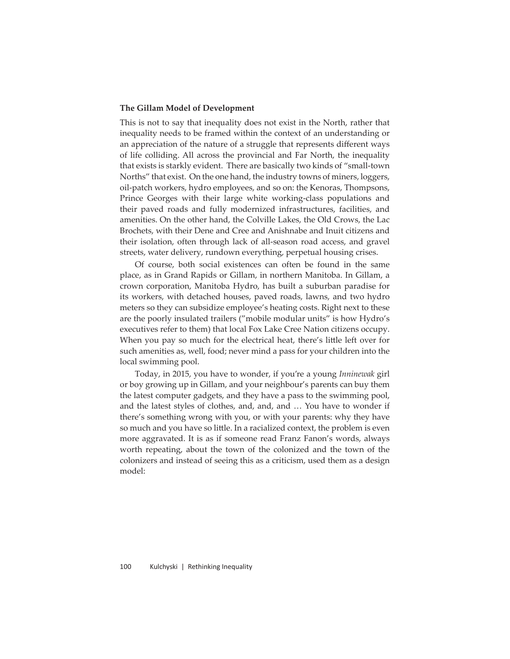#### **The Gillam Model of Development**

This is not to say that inequality does not exist in the North, rather that inequality needs to be framed within the context of an understanding or an appreciation of the nature of a struggle that represents different ways of life colliding. All across the provincial and Far North, the inequality that exists is starkly evident. There are basically two kinds of "small-town Norths" that exist. On the one hand, the industry towns of miners, loggers, oil-patch workers, hydro employees, and so on: the Kenoras, Thompsons, Prince Georges with their large white working-class populations and their paved roads and fully modernized infrastructures, facilities, and amenities. On the other hand, the Colville Lakes, the Old Crows, the Lac Brochets, with their Dene and Cree and Anishnabe and Inuit citizens and their isolation, often through lack of all-season road access, and gravel streets, water delivery, rundown everything, perpetual housing crises.

Of course, both social existences can often be found in the same place, as in Grand Rapids or Gillam, in northern Manitoba. In Gillam, a crown corporation, Manitoba Hydro, has built a suburban paradise for its workers, with detached houses, paved roads, lawns, and two hydro meters so they can subsidize employee's heating costs. Right next to these are the poorly insulated trailers ("mobile modular units" is how Hydro's executives refer to them) that local Fox Lake Cree Nation citizens occupy. When you pay so much for the electrical heat, there's little left over for such amenities as, well, food; never mind a pass for your children into the local swimming pool.

Today, in 2015, you have to wonder, if you're a young *Inninewak* girl or boy growing up in Gillam, and your neighbour's parents can buy them the latest computer gadgets, and they have a pass to the swimming pool, and the latest styles of clothes, and, and, and … You have to wonder if there's something wrong with you, or with your parents: why they have so much and you have so little. In a racialized context, the problem is even more aggravated. It is as if someone read Franz Fanon's words, always worth repeating, about the town of the colonized and the town of the colonizers and instead of seeing this as a criticism, used them as a design model: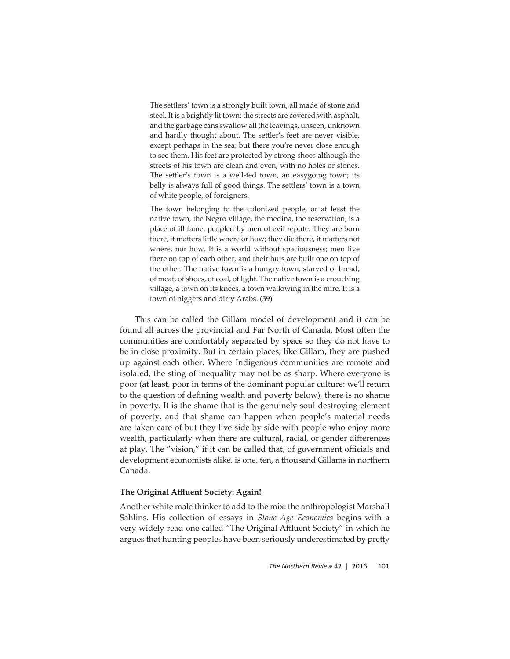The settlers' town is a strongly built town, all made of stone and steel. It is a brightly lit town; the streets are covered with asphalt, and the garbage cans swallow all the leavings, unseen, unknown and hardly thought about. The settler's feet are never visible, except perhaps in the sea; but there you're never close enough to see them. His feet are protected by strong shoes although the streets of his town are clean and even, with no holes or stones. The settler's town is a well-fed town, an easygoing town; its belly is always full of good things. The settlers' town is a town of white people, of foreigners.

The town belonging to the colonized people, or at least the native town, the Negro village, the medina, the reservation, is a place of ill fame, peopled by men of evil repute. They are born there, it matters little where or how; they die there, it matters not where, nor how. It is a world without spaciousness; men live there on top of each other, and their huts are built one on top of the other. The native town is a hungry town, starved of bread, of meat, of shoes, of coal, of light. The native town is a crouching village, a town on its knees, a town wallowing in the mire. It is a town of niggers and dirty Arabs. (39)

This can be called the Gillam model of development and it can be found all across the provincial and Far North of Canada. Most often the communities are comfortably separated by space so they do not have to be in close proximity. But in certain places, like Gillam, they are pushed up against each other. Where Indigenous communities are remote and isolated, the sting of inequality may not be as sharp. Where everyone is poor (at least, poor in terms of the dominant popular culture: we'll return to the question of defining wealth and poverty below), there is no shame in poverty. It is the shame that is the genuinely soul-destroying element of poverty, and that shame can happen when people's material needs are taken care of but they live side by side with people who enjoy more wealth, particularly when there are cultural, racial, or gender differences at play. The "vision," if it can be called that, of government officials and development economists alike, is one, ten, a thousand Gillams in northern Canada.

# **The Original Affl uent Society: Again!**

Another white male thinker to add to the mix: the anthropologist Marshall Sahlins. His collection of essays in *Stone Age Economics* begins with a very widely read one called "The Original Affluent Society" in which he argues that hunting peoples have been seriously underestimated by pretty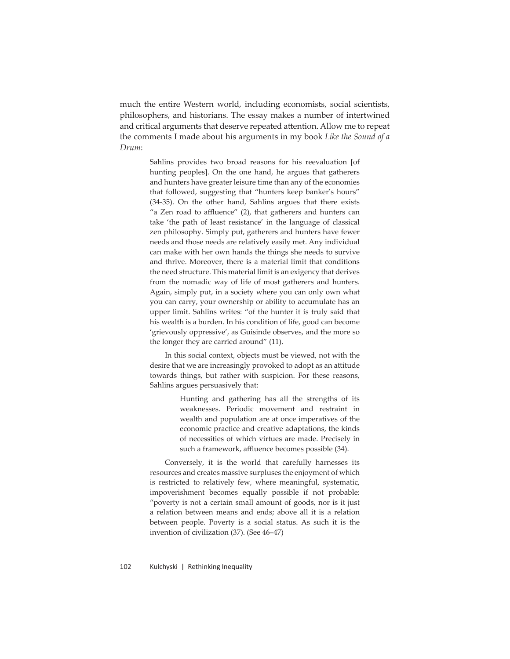much the entire Western world, including economists, social scientists, philosophers, and historians. The essay makes a number of intertwined and critical arguments that deserve repeated attention. Allow me to repeat the comments I made about his arguments in my book *Like the Sound of a Drum*:

> Sahlins provides two broad reasons for his reevaluation [of hunting peoples]. On the one hand, he argues that gatherers and hunters have greater leisure time than any of the economies that followed, suggesting that "hunters keep banker's hours" (34-35). On the other hand, Sahlins argues that there exists "a Zen road to affluence"  $(2)$ , that gatherers and hunters can take 'the path of least resistance' in the language of classical zen philosophy. Simply put, gatherers and hunters have fewer needs and those needs are relatively easily met. Any individual can make with her own hands the things she needs to survive and thrive. Moreover, there is a material limit that conditions the need structure. This material limit is an exigency that derives from the nomadic way of life of most gatherers and hunters. Again, simply put, in a society where you can only own what you can carry, your ownership or ability to accumulate has an upper limit. Sahlins writes: "of the hunter it is truly said that his wealth is a burden. In his condition of life, good can become 'grievously oppressive', as Guisinde observes, and the more so the longer they are carried around" (11).

> In this social context, objects must be viewed, not with the desire that we are increasingly provoked to adopt as an attitude towards things, but rather with suspicion. For these reasons, Sahlins argues persuasively that:

> > Hunting and gathering has all the strengths of its weaknesses. Periodic movement and restraint in wealth and population are at once imperatives of the economic practice and creative adaptations, the kinds of necessities of which virtues are made. Precisely in such a framework, affluence becomes possible (34).

Conversely, it is the world that carefully harnesses its resources and creates massive surpluses the enjoyment of which is restricted to relatively few, where meaningful, systematic, impoverishment becomes equally possible if not probable: "poverty is not a certain small amount of goods, nor is it just a relation between means and ends; above all it is a relation between people. Poverty is a social status. As such it is the invention of civilization (37). (See 46–47)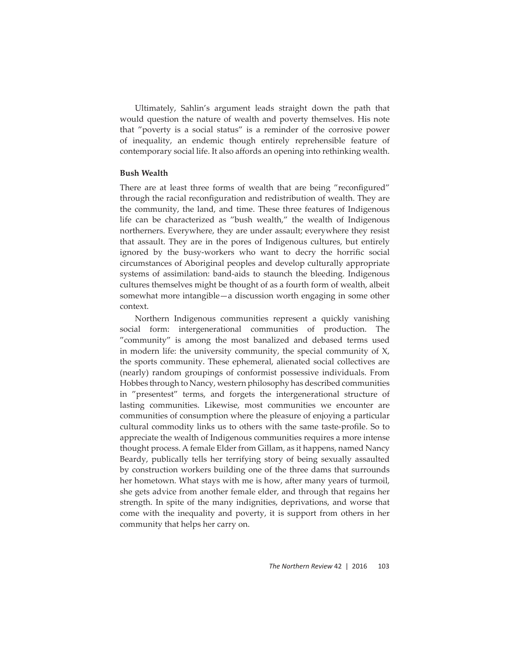Ultimately, Sahlin's argument leads straight down the path that would question the nature of wealth and poverty themselves. His note that "poverty is a social status" is a reminder of the corrosive power of inequality, an endemic though entirely reprehensible feature of contemporary social life. It also affords an opening into rethinking wealth.

#### **Bush Wealth**

There are at least three forms of wealth that are being "reconfigured" through the racial reconfiguration and redistribution of wealth. They are the community, the land, and time. These three features of Indigenous life can be characterized as "bush wealth," the wealth of Indigenous northerners. Everywhere, they are under assault; everywhere they resist that assault. They are in the pores of Indigenous cultures, but entirely ignored by the busy-workers who want to decry the horrific social circumstances of Aboriginal peoples and develop culturally appropriate systems of assimilation: band-aids to staunch the bleeding. Indigenous cultures themselves might be thought of as a fourth form of wealth, albeit somewhat more intangible—a discussion worth engaging in some other context.

Northern Indigenous communities represent a quickly vanishing social form: intergenerational communities of production. The "community" is among the most banalized and debased terms used in modern life: the university community, the special community of X, the sports community. These ephemeral, alienated social collectives are (nearly) random groupings of conformist possessive individuals. From Hobbes through to Nancy, western philosophy has described communities in "presentest" terms, and forgets the intergenerational structure of lasting communities. Likewise, most communities we encounter are communities of consumption where the pleasure of enjoying a particular cultural commodity links us to others with the same taste-profile. So to appreciate the wealth of Indigenous communities requires a more intense thought process. A female Elder from Gillam, as it happens, named Nancy Beardy, publically tells her terrifying story of being sexually assaulted by construction workers building one of the three dams that surrounds her hometown. What stays with me is how, after many years of turmoil, she gets advice from another female elder, and through that regains her strength. In spite of the many indignities, deprivations, and worse that come with the inequality and poverty, it is support from others in her community that helps her carry on.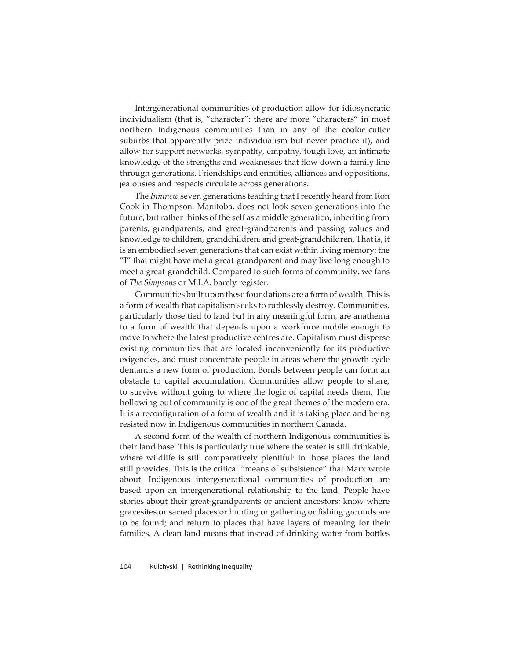Intergenerational communities of production allow for idiosyncratic individualism (that is, "character": there are more "characters" in most northern Indigenous communities than in any of the cookie-cutter suburbs that apparently prize individualism but never practice it), and allow for support networks, sympathy, empathy, tough love, an intimate knowledge of the strengths and weaknesses that flow down a family line through generations. Friendships and enmities, alliances and oppositions, jealousies and respects circulate across generations.

The *Inninew* seven generations teaching that I recently heard from Ron Cook in Thompson, Manitoba, does not look seven generations into the future, but rather thinks of the self as a middle generation, inheriting from parents, grandparents, and great-grandparents and passing values and knowledge to children, grandchildren, and great-grandchildren. That is, it is an embodied seven generations that can exist within living memory: the "I" that might have met a great-grandparent and may live long enough to meet a great-grandchild. Compared to such forms of community, we fans of *The Simpsons* or M.I.A. barely register.

Communities built upon these foundations are a form of wealth. This is a form of wealth that capitalism seeks to ruthlessly destroy. Communities, particularly those tied to land but in any meaningful form, are anathema to a form of wealth that depends upon a workforce mobile enough to move to where the latest productive centres are. Capitalism must disperse existing communities that are located inconveniently for its productive exigencies, and must concentrate people in areas where the growth cycle demands a new form of production. Bonds between people can form an obstacle to capital accumulation. Communities allow people to share, to survive without going to where the logic of capital needs them. The hollowing out of community is one of the great themes of the modern era. It is a reconfiguration of a form of wealth and it is taking place and being resisted now in Indigenous communities in northern Canada.

A second form of the wealth of northern Indigenous communities is their land base. This is particularly true where the water is still drinkable, where wildlife is still comparatively plentiful: in those places the land still provides. This is the critical "means of subsistence" that Marx wrote about. Indigenous intergenerational communities of production are based upon an intergenerational relationship to the land. People have stories about their great-grandparents or ancient ancestors; know where gravesites or sacred places or hunting or gathering or fishing grounds are to be found; and return to places that have layers of meaning for their families. A clean land means that instead of drinking water from bottles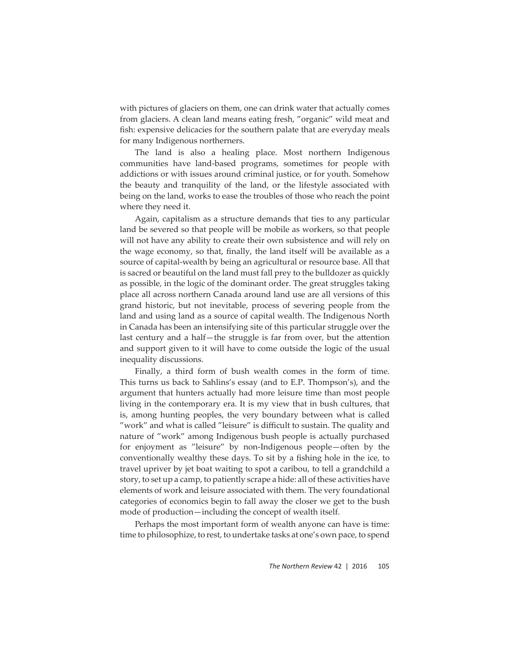with pictures of glaciers on them, one can drink water that actually comes from glaciers. A clean land means eating fresh, "organic" wild meat and fish: expensive delicacies for the southern palate that are everyday meals for many Indigenous northerners.

The land is also a healing place. Most northern Indigenous communities have land-based programs, sometimes for people with addictions or with issues around criminal justice, or for youth. Somehow the beauty and tranquility of the land, or the lifestyle associated with being on the land, works to ease the troubles of those who reach the point where they need it.

Again, capitalism as a structure demands that ties to any particular land be severed so that people will be mobile as workers, so that people will not have any ability to create their own subsistence and will rely on the wage economy, so that, finally, the land itself will be available as a source of capital-wealth by being an agricultural or resource base. All that is sacred or beautiful on the land must fall prey to the bulldozer as quickly as possible, in the logic of the dominant order. The great struggles taking place all across northern Canada around land use are all versions of this grand historic, but not inevitable, process of severing people from the land and using land as a source of capital wealth. The Indigenous North in Canada has been an intensifying site of this particular struggle over the last century and a half—the struggle is far from over, but the attention and support given to it will have to come outside the logic of the usual inequality discussions.

Finally, a third form of bush wealth comes in the form of time. This turns us back to Sahlins's essay (and to E.P. Thompson's), and the argument that hunters actually had more leisure time than most people living in the contemporary era. It is my view that in bush cultures, that is, among hunting peoples, the very boundary between what is called "work" and what is called "leisure" is difficult to sustain. The quality and nature of "work" among Indigenous bush people is actually purchased for enjoyment as "leisure" by non-Indigenous people—often by the conventionally wealthy these days. To sit by a fishing hole in the ice, to travel upriver by jet boat waiting to spot a caribou, to tell a grandchild a story, to set up a camp, to patiently scrape a hide: all of these activities have elements of work and leisure associated with them. The very foundational categories of economics begin to fall away the closer we get to the bush mode of production—including the concept of wealth itself.

Perhaps the most important form of wealth anyone can have is time: time to philosophize, to rest, to undertake tasks at one's own pace, to spend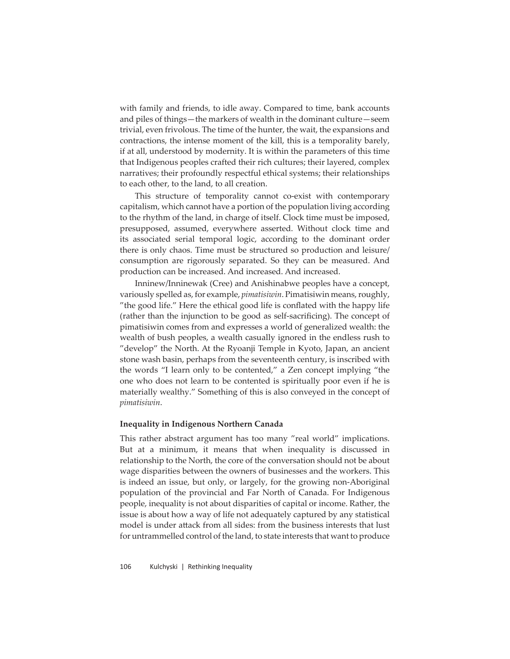with family and friends, to idle away. Compared to time, bank accounts and piles of things—the markers of wealth in the dominant culture—seem trivial, even frivolous. The time of the hunter, the wait, the expansions and contractions, the intense moment of the kill, this is a temporality barely, if at all, understood by modernity. It is within the parameters of this time that Indigenous peoples crafted their rich cultures; their layered, complex narratives; their profoundly respectful ethical systems; their relationships to each other, to the land, to all creation.

This structure of temporality cannot co-exist with contemporary capitalism, which cannot have a portion of the population living according to the rhythm of the land, in charge of itself. Clock time must be imposed, presupposed, assumed, everywhere asserted. Without clock time and its associated serial temporal logic, according to the dominant order there is only chaos. Time must be structured so production and leisure/ consumption are rigorously separated. So they can be measured. And production can be increased. And increased. And increased.

Inninew/Inninewak (Cree) and Anishinabwe peoples have a concept, variously spelled as, for example, *pimatisiwin*. Pimatisiwin means, roughly, "the good life." Here the ethical good life is conflated with the happy life (rather than the injunction to be good as self-sacrificing). The concept of pimatisiwin comes from and expresses a world of generalized wealth: the wealth of bush peoples, a wealth casually ignored in the endless rush to "develop" the North. At the Ryoanji Temple in Kyoto, Japan, an ancient stone wash basin, perhaps from the seventeenth century, is inscribed with the words "I learn only to be contented," a Zen concept implying "the one who does not learn to be contented is spiritually poor even if he is materially wealthy." Something of this is also conveyed in the concept of *pimatisiwin*.

### **Inequality in Indigenous Northern Canada**

This rather abstract argument has too many "real world" implications. But at a minimum, it means that when inequality is discussed in relationship to the North, the core of the conversation should not be about wage disparities between the owners of businesses and the workers. This is indeed an issue, but only, or largely, for the growing non-Aboriginal population of the provincial and Far North of Canada. For Indigenous people, inequality is not about disparities of capital or income. Rather, the issue is about how a way of life not adequately captured by any statistical model is under attack from all sides: from the business interests that lust for untrammelled control of the land, to state interests that want to produce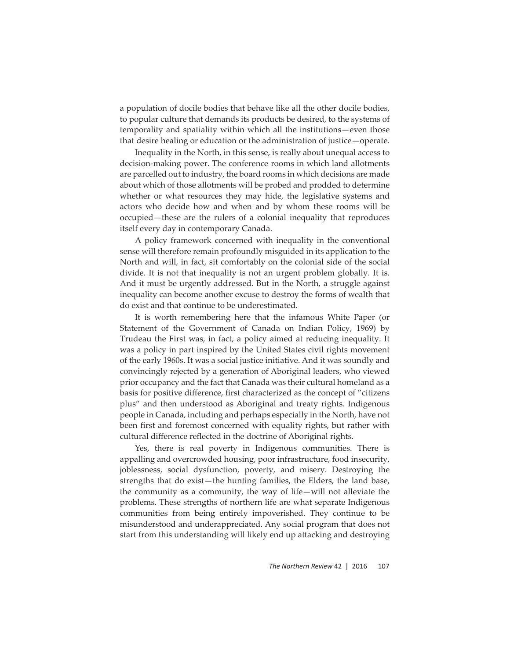a population of docile bodies that behave like all the other docile bodies, to popular culture that demands its products be desired, to the systems of temporality and spatiality within which all the institutions—even those that desire healing or education or the administration of justice—operate.

Inequality in the North, in this sense, is really about unequal access to decision-making power. The conference rooms in which land allotments are parcelled out to industry, the board rooms in which decisions are made about which of those allotments will be probed and prodded to determine whether or what resources they may hide, the legislative systems and actors who decide how and when and by whom these rooms will be occupied—these are the rulers of a colonial inequality that reproduces itself every day in contemporary Canada.

A policy framework concerned with inequality in the conventional sense will therefore remain profoundly misguided in its application to the North and will, in fact, sit comfortably on the colonial side of the social divide. It is not that inequality is not an urgent problem globally. It is. And it must be urgently addressed. But in the North, a struggle against inequality can become another excuse to destroy the forms of wealth that do exist and that continue to be underestimated.

It is worth remembering here that the infamous White Paper (or Statement of the Government of Canada on Indian Policy, 1969) by Trudeau the First was, in fact, a policy aimed at reducing inequality. It was a policy in part inspired by the United States civil rights movement of the early 1960s. It was a social justice initiative. And it was soundly and convincingly rejected by a generation of Aboriginal leaders, who viewed prior occupancy and the fact that Canada was their cultural homeland as a basis for positive difference, first characterized as the concept of "citizens plus" and then understood as Aboriginal and treaty rights. Indigenous people in Canada, including and perhaps especially in the North, have not been first and foremost concerned with equality rights, but rather with cultural difference reflected in the doctrine of Aboriginal rights.

Yes, there is real poverty in Indigenous communities. There is appalling and overcrowded housing, poor infrastructure, food insecurity, joblessness, social dysfunction, poverty, and misery. Destroying the strengths that do exist—the hunting families, the Elders, the land base, the community as a community, the way of life—will not alleviate the problems. These strengths of northern life are what separate Indigenous communities from being entirely impoverished. They continue to be misunderstood and underappreciated. Any social program that does not start from this understanding will likely end up attacking and destroying